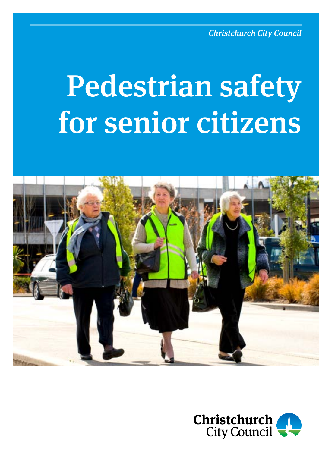# Pedestrian safety for senior citizens



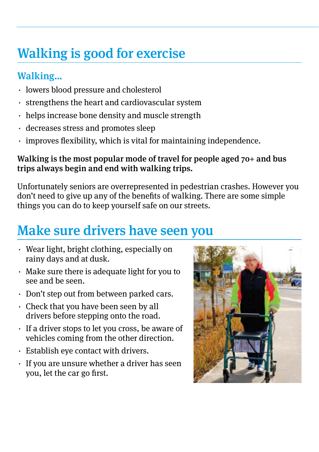## Walking is good for exercise

#### Walking…

- ⋅ lowers blood pressure and cholesterol
- ⋅ strengthens the heart and cardiovascular system
- ⋅ helps increase bone density and muscle strength
- ⋅ decreases stress and promotes sleep
- ⋅ improves flexibility, which is vital for maintaining independence.

#### Walking is the most popular mode of travel for people aged 70+ and bus trips always begin and end with walking trips.

Unfortunately seniors are overrepresented in pedestrian crashes. However you don't need to give up any of the benefits of walking. There are some simple things you can do to keep yourself safe on our streets.

#### Make sure drivers have seen you

- ⋅ Wear light, bright clothing, especially on rainy days and at dusk.
- ⋅ Make sure there is adequate light for you to see and be seen.
- ⋅ Don't step out from between parked cars.
- ⋅ Check that you have been seen by all drivers before stepping onto the road.
- ⋅ If a driver stops to let you cross, be aware of vehicles coming from the other direction.
- ⋅ Establish eye contact with drivers.
- ⋅ If you are unsure whether a driver has seen you, let the car go first.

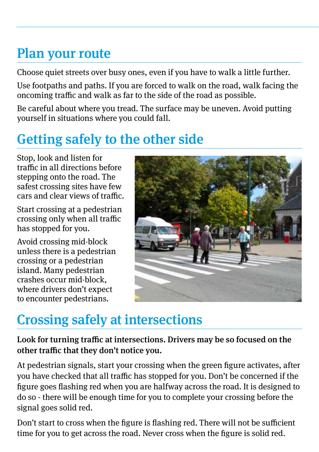## Plan your route

Choose quiet streets over busy ones, even if you have to walk a little further.

Use footpaths and paths. If you are forced to walk on the road, walk facing the oncoming traffic and walk as far to the side of the road as possible.

Be careful about where you tread. The surface may be uneven. Avoid putting yourself in situations where you could fall.

## Getting safely to the other side

Stop, look and listen for traffic in all directions before stepping onto the road. The safest crossing sites have few cars and clear views of traffic.

Start crossing at a pedestrian crossing only when all traffic has stopped for you.

Avoid crossing mid-block unless there is a pedestrian crossing or a pedestrian island. Many pedestrian crashes occur mid-block, where drivers don't expect to encounter pedestrians.



#### Crossing safely at intersections

Look for turning traffic at intersections. Drivers may be so focused on the other traffic that they don't notice you.

At pedestrian signals, start your crossing when the green figure activates, after you have checked that all traffic has stopped for you. Don't be concerned if the figure goes flashing red when you are halfway across the road. It is designed to do so - there will be enough time for you to complete your crossing before the signal goes solid red.

Don't start to cross when the figure is flashing red. There will not be sufficient time for you to get across the road. Never cross when the figure is solid red.